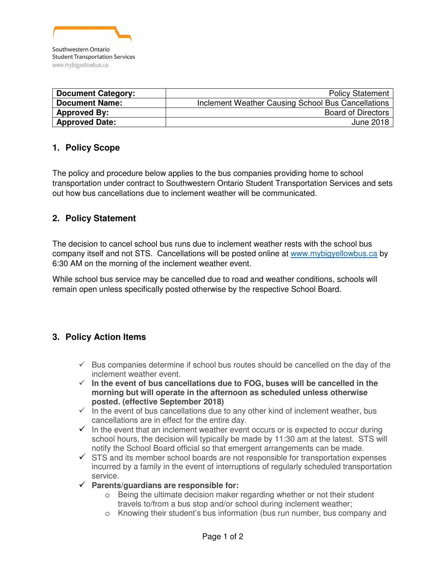

| <b>Document Category:</b> | <b>Policy Statement</b>                            |
|---------------------------|----------------------------------------------------|
| <b>Document Name:</b>     | Inclement Weather Causing School Bus Cancellations |
| <b>Approved By:</b>       | <b>Board of Directors</b>                          |
| <b>Approved Date:</b>     | June 2018                                          |

# **1. Policy Scope**

The policy and procedure below applies to the bus companies providing home to school transportation under contract to Southwestern Ontario Student Transportation Services and sets out how bus cancellations due to inclement weather will be communicated.

#### **2. Policy Statement**

The decision to cancel school bus runs due to inclement weather rests with the school bus company itself and not STS. Cancellations will be posted online at www.mybigyellowbus.ca by 6:30 AM on the morning of the inclement weather event.

While school bus service may be cancelled due to road and weather conditions, schools will remain open unless specifically posted otherwise by the respective School Board.

# **3. Policy Action Items**

- $\checkmark$  Bus companies determine if school bus routes should be cancelled on the day of the inclement weather event.
- $\checkmark$  In the event of bus cancellations due to FOG, buses will be cancelled in the **morning but will operate in the afternoon as scheduled unless otherwise posted. (effective September 2018)**
- $\checkmark$  in the event of bus cancellations due to any other kind of inclement weather, bus cancellations are in effect for the entire day.
- $\checkmark$  In the event that an inclement weather event occurs or is expected to occur during school hours, the decision will typically be made by 11:30 am at the latest. STS will notify the School Board official so that emergent arrangements can be made.
- $\checkmark$  STS and its member school boards are not responsible for transportation expenses incurred by a family in the event of interruptions of regularly scheduled transportation service.
- **Parents/guardians are responsible for:**
	- o Being the ultimate decision maker regarding whether or not their student travels to/from a bus stop and/or school during inclement weather;
	- o Knowing their student's bus information (bus run number, bus company and